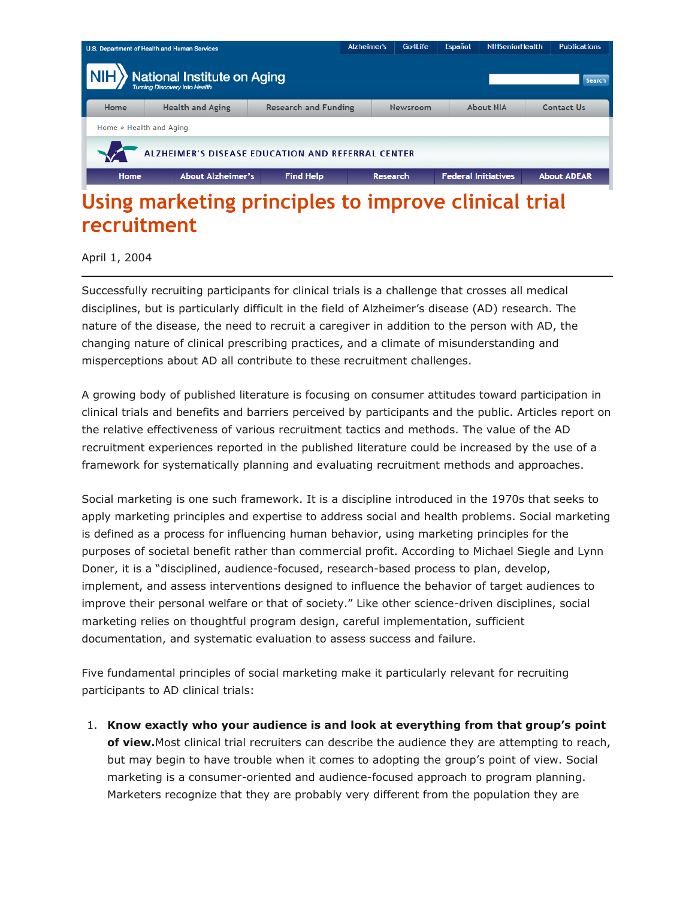

## **Using marketing principles to improve clinical trial recruitment**

## April 1, 2004

Successfully recruiting participants for clinical trials is a challenge that crosses all medical disciplines, but is particularly difficult in the field of Alzheimer's disease (AD) research. The nature of the disease, the need to recruit a caregiver in addition to the person with AD, the changing nature of clinical prescribing practices, and a climate of misunderstanding and misperceptions about AD all contribute to these recruitment challenges.

A growing body of published literature is focusing on consumer attitudes toward participation in clinical trials and benefits and barriers perceived by participants and the public. Articles report on the relative effectiveness of various recruitment tactics and methods. The value of the AD recruitment experiences reported in the published literature could be increased by the use of a framework for systematically planning and evaluating recruitment methods and approaches.

Social marketing is one such framework. It is a discipline introduced in the 1970s that seeks to apply marketing principles and expertise to address social and health problems. Social marketing is defined as a process for influencing human behavior, using marketing principles for the purposes of societal benefit rather than commercial profit. According to Michael Siegle and Lynn Doner, it is a "disciplined, audience-focused, research-based process to plan, develop, implement, and assess interventions designed to influence the behavior of target audiences to improve their personal welfare or that of society." Like other science-driven disciplines, social marketing relies on thoughtful program design, careful implementation, sufficient documentation, and systematic evaluation to assess success and failure.

Five fundamental principles of social marketing make it particularly relevant for recruiting participants to AD clinical trials:

1. **Know exactly who your audience is and look at everything from that group's point of view.**Most clinical trial recruiters can describe the audience they are attempting to reach, but may begin to have trouble when it comes to adopting the group's point of view. Social marketing is a consumer-oriented and audience-focused approach to program planning. Marketers recognize that they are probably very different from the population they are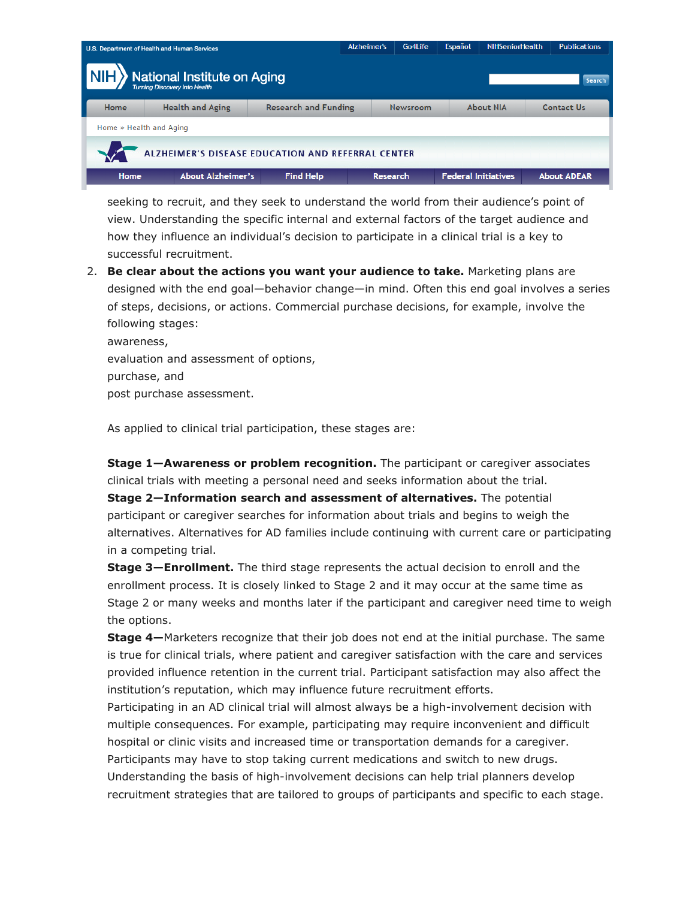| U.S. Department of Health and Human Services                                                              |                          |                             | <b>Alzheimer's</b> | Go4Life         | Español | <b>NIHSeniorHealth</b>     | <b>Publications</b> |  |  |
|-----------------------------------------------------------------------------------------------------------|--------------------------|-----------------------------|--------------------|-----------------|---------|----------------------------|---------------------|--|--|
| <b>NIH</b> National Institute on Aging<br><b>NIH</b> Y <sub>Turning Discovery Into Health</sub><br>Search |                          |                             |                    |                 |         |                            |                     |  |  |
| Home                                                                                                      | <b>Health and Aging</b>  | <b>Research and Funding</b> |                    | <b>Newsroom</b> |         | <b>About NIA</b>           | <b>Contact Us</b>   |  |  |
| Home » Health and Aging                                                                                   |                          |                             |                    |                 |         |                            |                     |  |  |
| ALZHEIMER'S DISEASE EDUCATION AND REFERRAL CENTER                                                         |                          |                             |                    |                 |         |                            |                     |  |  |
| Home                                                                                                      | <b>About Alzheimer's</b> | <b>Find Help</b>            | <b>Research</b>    |                 |         | <b>Federal Initiatives</b> | <b>About ADEAR</b>  |  |  |

seeking to recruit, and they seek to understand the world from their audience's point of view. Understanding the specific internal and external factors of the target audience and how they influence an individual's decision to participate in a clinical trial is a key to successful recruitment.

2. **Be clear about the actions you want your audience to take.** Marketing plans are designed with the end goal—behavior change—in mind. Often this end goal involves a series of steps, decisions, or actions. Commercial purchase decisions, for example, involve the following stages:

awareness, evaluation and assessment of options, purchase, and post purchase assessment.

As applied to clinical trial participation, these stages are:

**Stage 1—Awareness or problem recognition.** The participant or caregiver associates clinical trials with meeting a personal need and seeks information about the trial.

**Stage 2—Information search and assessment of alternatives.** The potential participant or caregiver searches for information about trials and begins to weigh the alternatives. Alternatives for AD families include continuing with current care or participating in a competing trial.

**Stage 3—Enrollment.** The third stage represents the actual decision to enroll and the enrollment process. It is closely linked to Stage 2 and it may occur at the same time as Stage 2 or many weeks and months later if the participant and caregiver need time to weigh the options.

**Stage 4—**Marketers recognize that their job does not end at the initial purchase. The same is true for clinical trials, where patient and caregiver satisfaction with the care and services provided influence retention in the current trial. Participant satisfaction may also affect the institution's reputation, which may influence future recruitment efforts.

Participating in an AD clinical trial will almost always be a high-involvement decision with multiple consequences. For example, participating may require inconvenient and difficult hospital or clinic visits and increased time or transportation demands for a caregiver. Participants may have to stop taking current medications and switch to new drugs. Understanding the basis of high-involvement decisions can help trial planners develop recruitment strategies that are tailored to groups of participants and specific to each stage.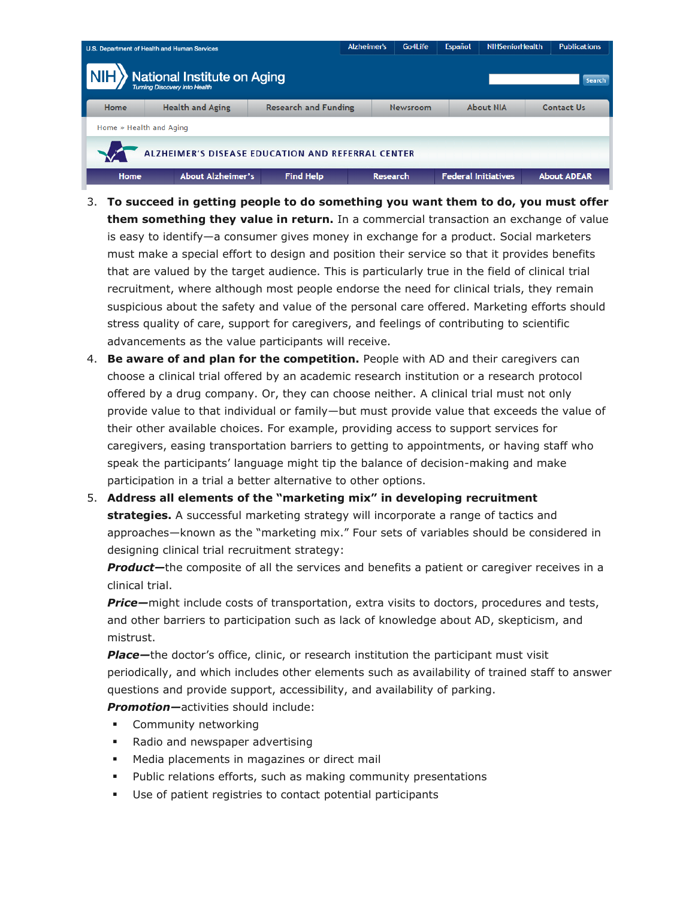| U.S. Department of Health and Human Services             |                          |                             | <b>Alzheimer's</b> | Go4Life  | Español | <b>NIHSeniorHealth</b>                | <b>Publications</b> |  |  |
|----------------------------------------------------------|--------------------------|-----------------------------|--------------------|----------|---------|---------------------------------------|---------------------|--|--|
| <b>NIH</b> National Institute on Aging<br>Search         |                          |                             |                    |          |         |                                       |                     |  |  |
| Home                                                     | <b>Health and Aging</b>  | <b>Research and Funding</b> |                    | Newsroom |         | <b>About NIA</b><br><b>Contact Us</b> |                     |  |  |
| Home » Health and Aging                                  |                          |                             |                    |          |         |                                       |                     |  |  |
| <b>ALZHEIMER'S DISEASE EDUCATION AND REFERRAL CENTER</b> |                          |                             |                    |          |         |                                       |                     |  |  |
| Home                                                     | <b>About Alzheimer's</b> | <b>Find Help</b>            | <b>Research</b>    |          |         | <b>Federal Initiatives</b>            | <b>About ADEAR</b>  |  |  |

- 3. **To succeed in getting people to do something you want them to do, you must offer them something they value in return.** In a commercial transaction an exchange of value is easy to identify—a consumer gives money in exchange for a product. Social marketers must make a special effort to design and position their service so that it provides benefits that are valued by the target audience. This is particularly true in the field of clinical trial recruitment, where although most people endorse the need for clinical trials, they remain suspicious about the safety and value of the personal care offered. Marketing efforts should stress quality of care, support for caregivers, and feelings of contributing to scientific advancements as the value participants will receive.
- 4. **Be aware of and plan for the competition.** People with AD and their caregivers can choose a clinical trial offered by an academic research institution or a research protocol offered by a drug company. Or, they can choose neither. A clinical trial must not only provide value to that individual or family—but must provide value that exceeds the value of their other available choices. For example, providing access to support services for caregivers, easing transportation barriers to getting to appointments, or having staff who speak the participants' language might tip the balance of decision-making and make participation in a trial a better alternative to other options.
- 5. **Address all elements of the "marketing mix" in developing recruitment strategies.** A successful marketing strategy will incorporate a range of tactics and approaches—known as the "marketing mix." Four sets of variables should be considered in designing clinical trial recruitment strategy:

*Product—*the composite of all the services and benefits a patient or caregiver receives in a clinical trial.

*Price—*might include costs of transportation, extra visits to doctors, procedures and tests, and other barriers to participation such as lack of knowledge about AD, skepticism, and mistrust.

**Place**—the doctor's office, clinic, or research institution the participant must visit periodically, and which includes other elements such as availability of trained staff to answer questions and provide support, accessibility, and availability of parking.

*Promotion—*activities should include:

- **•** Community networking
- Radio and newspaper advertising
- Media placements in magazines or direct mail
- Public relations efforts, such as making community presentations
- Use of patient registries to contact potential participants